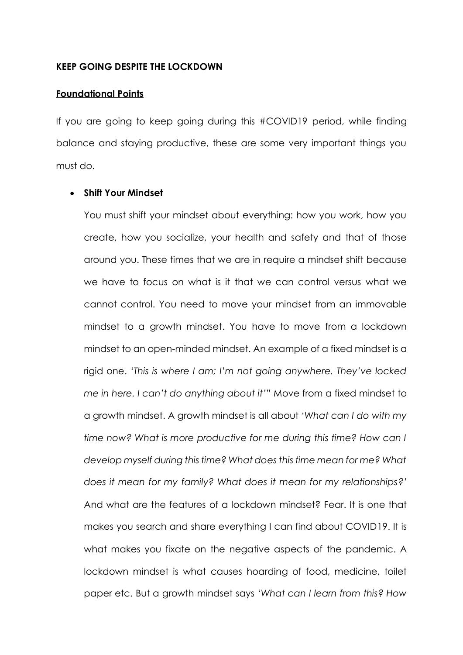#### **KEEP GOING DESPITE THE LOCKDOWN**

#### **Foundational Points**

If you are going to keep going during this #COVID19 period, while finding balance and staying productive, these are some very important things you must do.

#### • **Shift Your Mindset**

You must shift your mindset about everything: how you work, how you create, how you socialize, your health and safety and that of those around you. These times that we are in require a mindset shift because we have to focus on what is it that we can control versus what we cannot control. You need to move your mindset from an immovable mindset to a growth mindset. You have to move from a lockdown mindset to an open-minded mindset. An example of a fixed mindset is a rigid one. *'This is where I am; I'm not going anywhere. They've locked me in here. I can't do anything about it'"* Move from a fixed mindset to a growth mindset. A growth mindset is all about *'What can I do with my time now? What is more productive for me during this time? How can I develop myself during this time? What does this time mean for me? What does it mean for my family? What does it mean for my relationships?'* And what are the features of a lockdown mindset? Fear. It is one that makes you search and share everything I can find about COVID19. It is what makes you fixate on the negative aspects of the pandemic. A lockdown mindset is what causes hoarding of food, medicine, toilet paper etc. But a growth mindset says '*What can I learn from this? How*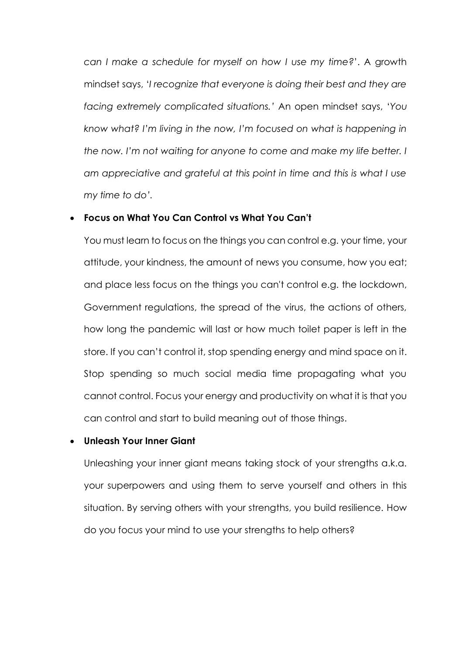*can I make a schedule for myself on how I use my time?*'. A growth mindset says, '*I recognize that everyone is doing their best and they are facing extremely complicated situations.'* An open mindset says, '*You know what? I'm living in the now, I'm focused on what is happening in the now. I'm not waiting for anyone to come and make my life better. I am appreciative and grateful at this point in time and this is what I use my time to do'.*

## • **Focus on What You Can Control vs What You Can't**

You must learn to focus on the things you can control e.g. your time, your attitude, your kindness, the amount of news you consume, how you eat; and place less focus on the things you can't control e.g. the lockdown, Government regulations, the spread of the virus, the actions of others, how long the pandemic will last or how much toilet paper is left in the store. If you can't control it, stop spending energy and mind space on it. Stop spending so much social media time propagating what you cannot control. Focus your energy and productivity on what it is that you can control and start to build meaning out of those things.

### • **Unleash Your Inner Giant**

Unleashing your inner giant means taking stock of your strengths a.k.a. your superpowers and using them to serve yourself and others in this situation. By serving others with your strengths, you build resilience. How do you focus your mind to use your strengths to help others?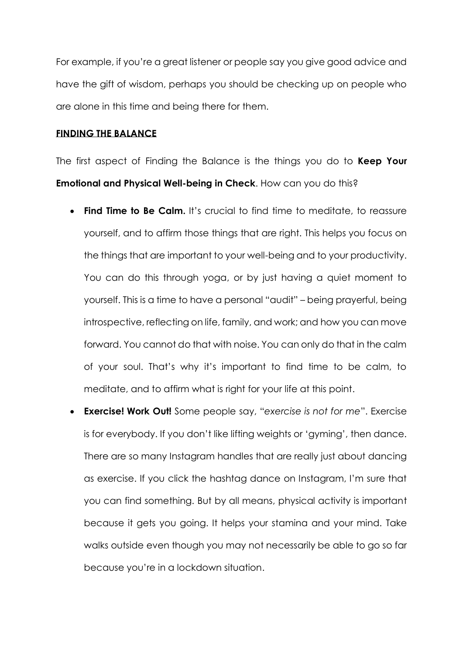For example, if you're a great listener or people say you give good advice and have the gift of wisdom, perhaps you should be checking up on people who are alone in this time and being there for them.

# **FINDING THE BALANCE**

The first aspect of Finding the Balance is the things you do to **Keep Your Emotional and Physical Well-being in Check**. How can you do this?

- **Find Time to Be Calm.** It's crucial to find time to meditate, to reassure yourself, and to affirm those things that are right. This helps you focus on the things that are important to your well-being and to your productivity. You can do this through yoga, or by just having a quiet moment to yourself. This is a time to have a personal "audit" – being prayerful, being introspective, reflecting on life, family, and work; and how you can move forward. You cannot do that with noise. You can only do that in the calm of your soul. That's why it's important to find time to be calm, to meditate, and to affirm what is right for your life at this point.
- **Exercise! Work Out!** Some people say, "*exercise is not for me*". Exercise is for everybody. If you don't like lifting weights or 'gyming', then dance. There are so many Instagram handles that are really just about dancing as exercise. If you click the hashtag dance on Instagram, I'm sure that you can find something. But by all means, physical activity is important because it gets you going. It helps your stamina and your mind. Take walks outside even though you may not necessarily be able to go so far because you're in a lockdown situation.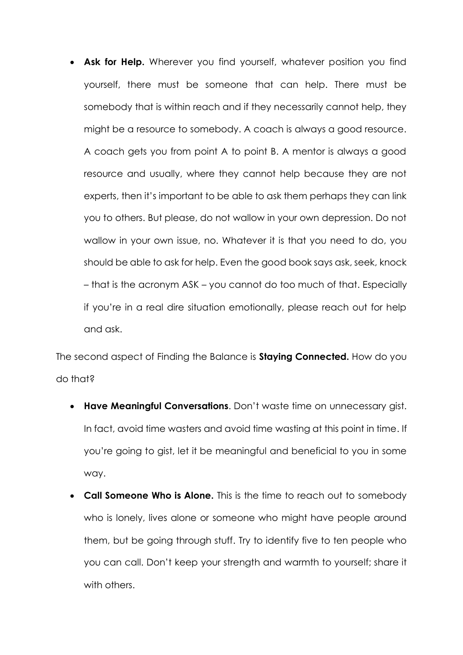• **Ask for Help.** Wherever you find yourself, whatever position you find yourself, there must be someone that can help. There must be somebody that is within reach and if they necessarily cannot help, they might be a resource to somebody. A coach is always a good resource. A coach gets you from point A to point B. A mentor is always a good resource and usually, where they cannot help because they are not experts, then it's important to be able to ask them perhaps they can link you to others. But please, do not wallow in your own depression. Do not wallow in your own issue, no. Whatever it is that you need to do, you should be able to ask for help. Even the good book says ask, seek, knock – that is the acronym ASK – you cannot do too much of that. Especially if you're in a real dire situation emotionally, please reach out for help and ask.

The second aspect of Finding the Balance is **Staying Connected.** How do you do that?

- **Have Meaningful Conversations**. Don't waste time on unnecessary gist. In fact, avoid time wasters and avoid time wasting at this point in time. If you're going to gist, let it be meaningful and beneficial to you in some way.
- **Call Someone Who is Alone.** This is the time to reach out to somebody who is lonely, lives alone or someone who might have people around them, but be going through stuff. Try to identify five to ten people who you can call. Don't keep your strength and warmth to yourself; share it with others.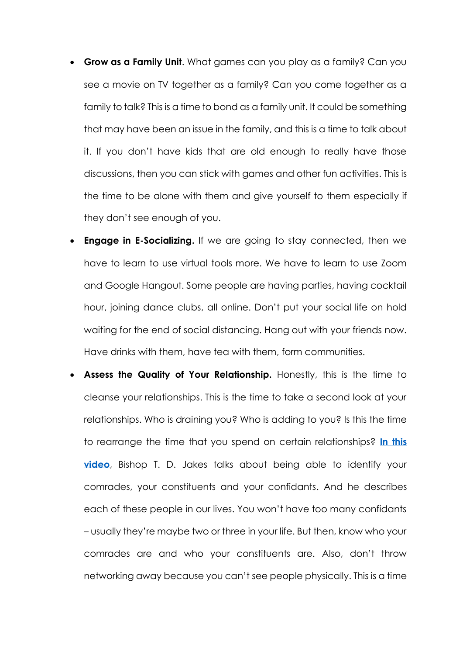- **Grow as a Family Unit**. What games can you play as a family? Can you see a movie on TV together as a family? Can you come together as a family to talk? This is a time to bond as a family unit. It could be something that may have been an issue in the family, and this is a time to talk about it. If you don't have kids that are old enough to really have those discussions, then you can stick with games and other fun activities. This is the time to be alone with them and give yourself to them especially if they don't see enough of you.
- **Engage in E-Socializing.** If we are going to stay connected, then we have to learn to use virtual tools more. We have to learn to use Zoom and Google Hangout. Some people are having parties, having cocktail hour, joining dance clubs, all online. Don't put your social life on hold waiting for the end of social distancing. Hang out with your friends now. Have drinks with them, have tea with them, form communities.
- **Assess the Quality of Your Relationship.** Honestly, this is the time to cleanse your relationships. This is the time to take a second look at your relationships. Who is draining you? Who is adding to you? Is this the time to rearrange the time that you spend on certain relationships? **[In this](https://youtu.be/bc8o4KuThBE)  [video](https://youtu.be/bc8o4KuThBE)**, Bishop T. D. Jakes talks about being able to identify your comrades, your constituents and your confidants. And he describes each of these people in our lives. You won't have too many confidants – usually they're maybe two or three in your life. But then, know who your comrades are and who your constituents are. Also, don't throw networking away because you can't see people physically. This is a time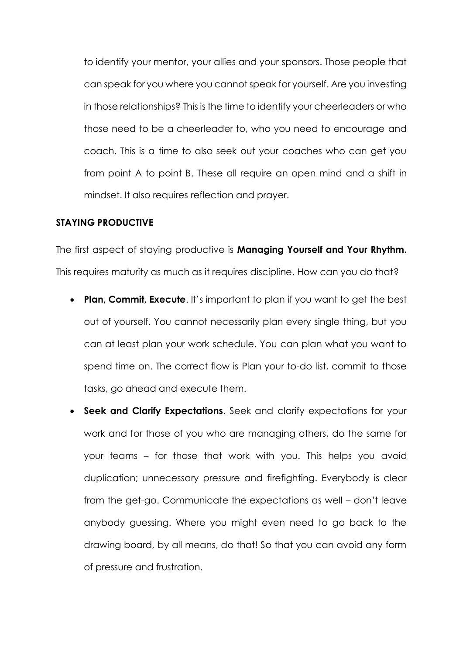to identify your mentor, your allies and your sponsors. Those people that can speak for you where you cannot speak for yourself. Are you investing in those relationships? This is the time to identify your cheerleaders or who those need to be a cheerleader to, who you need to encourage and coach. This is a time to also seek out your coaches who can get you from point A to point B. These all require an open mind and a shift in mindset. It also requires reflection and prayer.

### **STAYING PRODUCTIVE**

The first aspect of staying productive is **Managing Yourself and Your Rhythm.**  This requires maturity as much as it requires discipline. How can you do that?

- **Plan, Commit, Execute**. It's important to plan if you want to get the best out of yourself. You cannot necessarily plan every single thing, but you can at least plan your work schedule. You can plan what you want to spend time on. The correct flow is Plan your to-do list, commit to those tasks, go ahead and execute them.
- **Seek and Clarify Expectations**. Seek and clarify expectations for your work and for those of you who are managing others, do the same for your teams – for those that work with you. This helps you avoid duplication; unnecessary pressure and firefighting. Everybody is clear from the get-go. Communicate the expectations as well – don't leave anybody guessing. Where you might even need to go back to the drawing board, by all means, do that! So that you can avoid any form of pressure and frustration.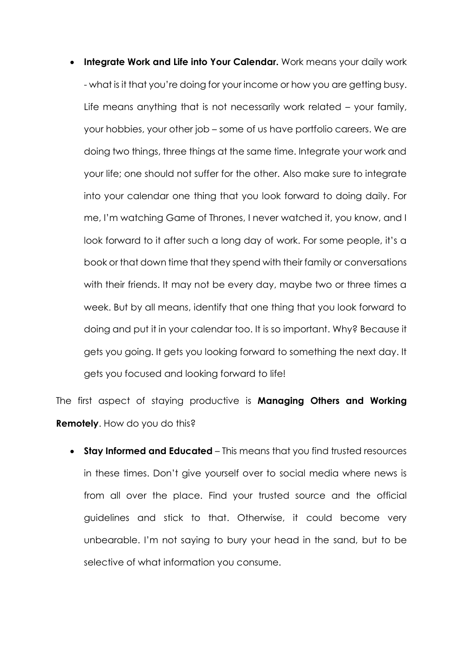• **Integrate Work and Life into Your Calendar.** Work means your daily work - what is it that you're doing for your income or how you are getting busy. Life means anything that is not necessarily work related – your family, your hobbies, your other job – some of us have portfolio careers. We are doing two things, three things at the same time. Integrate your work and your life; one should not suffer for the other. Also make sure to integrate into your calendar one thing that you look forward to doing daily. For me, I'm watching Game of Thrones, I never watched it, you know, and I look forward to it after such a long day of work. For some people, it's a book or that down time that they spend with their family or conversations with their friends. It may not be every day, maybe two or three times a week. But by all means, identify that one thing that you look forward to doing and put it in your calendar too. It is so important. Why? Because it gets you going. It gets you looking forward to something the next day. It gets you focused and looking forward to life!

The first aspect of staying productive is **Managing Others and Working Remotely**. How do you do this?

• **Stay Informed and Educated** – This means that you find trusted resources in these times. Don't give yourself over to social media where news is from all over the place. Find your trusted source and the official guidelines and stick to that. Otherwise, it could become very unbearable. I'm not saying to bury your head in the sand, but to be selective of what information you consume.